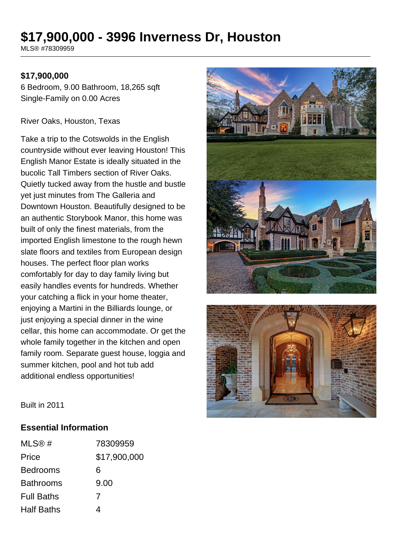# **\$17,900,000 - 3996 Inverness Dr, Houston**

MLS® #78309959

#### **\$17,900,000**

6 Bedroom, 9.00 Bathroom, 18,265 sqft Single-Family on 0.00 Acres

River Oaks, Houston, Texas

Take a trip to the Cotswolds in the English countryside without ever leaving Houston! This English Manor Estate is ideally situated in the bucolic Tall Timbers section of River Oaks. Quietly tucked away from the hustle and bustle yet just minutes from The Galleria and Downtown Houston. Beautifully designed to be an authentic Storybook Manor, this home was built of only the finest materials, from the imported English limestone to the rough hewn slate floors and textiles from European design houses. The perfect floor plan works comfortably for day to day family living but easily handles events for hundreds. Whether your catching a flick in your home theater, enjoying a Martini in the Billiards lounge, or just enjoying a special dinner in the wine cellar, this home can accommodate. Or get the whole family together in the kitchen and open family room. Separate guest house, loggia and summer kitchen, pool and hot tub add additional endless opportunities!





Built in 2011

#### **Essential Information**

| MLS@#             | 78309959     |
|-------------------|--------------|
| Price             | \$17,900,000 |
| <b>Bedrooms</b>   | 6            |
| <b>Bathrooms</b>  | 9.00         |
| <b>Full Baths</b> | 7            |
| <b>Half Baths</b> |              |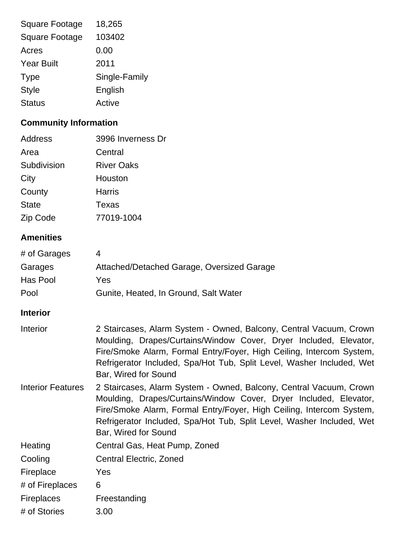| <b>Square Footage</b> | 18,265        |
|-----------------------|---------------|
| <b>Square Footage</b> | 103402        |
| Acres                 | 0.00          |
| <b>Year Built</b>     | 2011          |
| <b>Type</b>           | Single-Family |
| <b>Style</b>          | English       |
| <b>Status</b>         | Active        |

# **Community Information**

| Address      | 3996 Inverness Dr |
|--------------|-------------------|
| Area         | Central           |
| Subdivision  | <b>River Oaks</b> |
| City         | Houston           |
| County       | <b>Harris</b>     |
| <b>State</b> | Texas             |
| Zip Code     | 77019-1004        |
|              |                   |

# **Amenities**

| # of Garages |                                            |
|--------------|--------------------------------------------|
| Garages      | Attached/Detached Garage, Oversized Garage |
| Has Pool     | Yes                                        |
| Pool         | Gunite, Heated, In Ground, Salt Water      |

# **Interior**

| Interior                 | 2 Staircases, Alarm System - Owned, Balcony, Central Vacuum, Crown<br>Moulding, Drapes/Curtains/Window Cover, Dryer Included, Elevator,<br>Fire/Smoke Alarm, Formal Entry/Foyer, High Ceiling, Intercom System,<br>Refrigerator Included, Spa/Hot Tub, Split Level, Washer Included, Wet<br>Bar, Wired for Sound |
|--------------------------|------------------------------------------------------------------------------------------------------------------------------------------------------------------------------------------------------------------------------------------------------------------------------------------------------------------|
| <b>Interior Features</b> | 2 Staircases, Alarm System - Owned, Balcony, Central Vacuum, Crown<br>Moulding, Drapes/Curtains/Window Cover, Dryer Included, Elevator,<br>Fire/Smoke Alarm, Formal Entry/Foyer, High Ceiling, Intercom System,<br>Refrigerator Included, Spa/Hot Tub, Split Level, Washer Included, Wet<br>Bar, Wired for Sound |
| Heating                  | Central Gas, Heat Pump, Zoned                                                                                                                                                                                                                                                                                    |
| Cooling                  | <b>Central Electric, Zoned</b>                                                                                                                                                                                                                                                                                   |
| Fireplace                | Yes                                                                                                                                                                                                                                                                                                              |
| # of Fireplaces          | 6                                                                                                                                                                                                                                                                                                                |
| <b>Fireplaces</b>        | Freestanding                                                                                                                                                                                                                                                                                                     |
| # of Stories             | 3.00                                                                                                                                                                                                                                                                                                             |
|                          |                                                                                                                                                                                                                                                                                                                  |